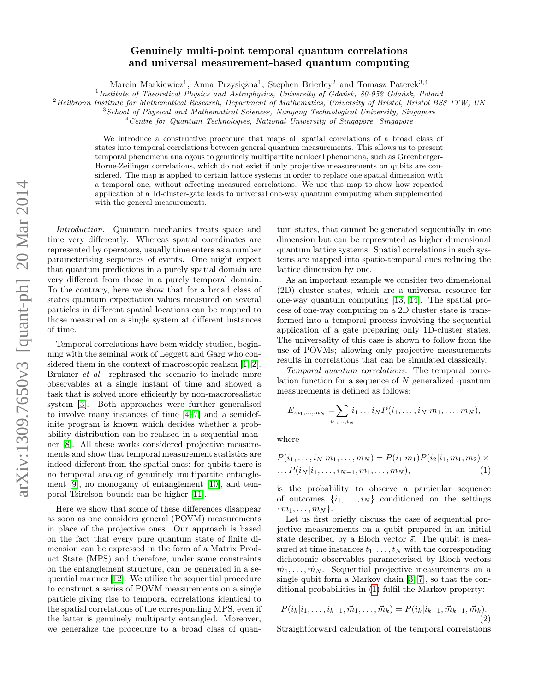## Genuinely multi-point temporal quantum correlations and universal measurement-based quantum computing

Marcin Markiewicz<sup>1</sup>, Anna Przysiężna<sup>1</sup>, Stephen Brierley<sup>2</sup> and Tomasz Paterek<sup>3,4</sup>

<sup>1</sup> Institute of Theoretical Physics and Astrophysics, University of Gdańsk, 80-952 Gdańsk, Poland

<sup>2</sup>Heilbronn Institute for Mathematical Research, Department of Mathematics, University of Bristol, Bristol BS8 1TW, UK

<sup>3</sup>School of Physical and Mathematical Sciences, Nanyang Technological University, Singapore

 $4$ Centre for Quantum Technologies, National University of Singapore, Singapore

We introduce a constructive procedure that maps all spatial correlations of a broad class of states into temporal correlations between general quantum measurements. This allows us to present temporal phenomena analogous to genuinely multipartite nonlocal phenomena, such as Greenberger-Horne-Zeilinger correlations, which do not exist if only projective measurements on qubits are considered. The map is applied to certain lattice systems in order to replace one spatial dimension with a temporal one, without affecting measured correlations. We use this map to show how repeated application of a 1d-cluster-gate leads to universal one-way quantum computing when supplemented with the general measurements.

Introduction. Quantum mechanics treats space and time very differently. Whereas spatial coordinates are represented by operators, usually time enters as a number parameterising sequences of events. One might expect that quantum predictions in a purely spatial domain are very different from those in a purely temporal domain. To the contrary, here we show that for a broad class of states quantum expectation values measured on several particles in different spatial locations can be mapped to those measured on a single system at different instances of time.

Temporal correlations have been widely studied, beginning with the seminal work of Leggett and Garg who considered them in the context of macroscopic realism [\[1,](#page-4-0) [2\]](#page-4-1). Brukner et al. rephrased the scenario to include more observables at a single instant of time and showed a task that is solved more efficiently by non-macrorealistic system [\[3\]](#page-4-2). Both approaches were further generalised to involve many instances of time [\[4–](#page-4-3)[7\]](#page-4-4) and a semidefinite program is known which decides whether a probability distribution can be realised in a sequential manner [\[8\]](#page-4-5). All these works considered projective measurements and show that temporal measurement statistics are indeed different from the spatial ones: for qubits there is no temporal analog of genuinely multipartite entanglement [\[9\]](#page-4-6), no monogamy of entanglement [\[10\]](#page-4-7), and temporal Tsirelson bounds can be higher [\[11\]](#page-4-8).

Here we show that some of these differences disappear as soon as one considers general (POVM) measurements in place of the projective ones. Our approach is based on the fact that every pure quantum state of finite dimension can be expressed in the form of a Matrix Product State (MPS) and therefore, under some constraints on the entanglement structure, can be generated in a sequential manner [\[12\]](#page-4-9). We utilize the sequential procedure to construct a series of POVM measurements on a single particle giving rise to temporal correlations identical to the spatial correlations of the corresponding MPS, even if the latter is genuinely multiparty entangled. Moreover, we generalize the procedure to a broad class of quan-

tum states, that cannot be generated sequentially in one dimension but can be represented as higher dimensional quantum lattice systems. Spatial correlations in such systems are mapped into spatio-temporal ones reducing the lattice dimension by one.

As an important example we consider two dimensional (2D) cluster states, which are a universal resource for one-way quantum computing [\[13,](#page-4-10) [14\]](#page-4-11). The spatial process of one-way computing on a 2D cluster state is transformed into a temporal process involving the sequential application of a gate preparing only 1D-cluster states. The universality of this case is shown to follow from the use of POVMs; allowing only projective measurements results in correlations that can be simulated classically.

Temporal quantum correlations. The temporal correlation function for a sequence of N generalized quantum measurements is defined as follows:

$$
E_{m_1,...,m_N} = \sum_{i_1,...,i_N} i_1 \dots i_N P(i_1,...,i_N | m_1,...,m_N),
$$

where

<span id="page-0-0"></span>
$$
P(i_1, ..., i_N|m_1, ..., m_N) = P(i_1|m_1)P(i_2|i_1, m_1, m_2) \times ... P(i_N|i_1, ..., i_{N-1}, m_1, ..., m_N),
$$
\n(1)

is the probability to observe a particular sequence of outcomes  $\{i_1, \ldots, i_N\}$  conditioned on the settings  ${m_1, \ldots, m_N}.$ 

Let us first briefly discuss the case of sequential projective measurements on a qubit prepared in an initial state described by a Bloch vector  $\vec{s}$ . The qubit is measured at time instances  $t_1, \ldots, t_N$  with the corresponding dichotomic observables parameterised by Bloch vectors  $\vec{m}_1, \ldots, \vec{m}_N$ . Sequential projective measurements on a single qubit form a Markov chain [\[3,](#page-4-2) [7\]](#page-4-4), so that the conditional probabilities in [\(1\)](#page-0-0) fulfil the Markov property:

$$
P(i_k|i_1,\ldots,i_{k-1},\vec{m}_1,\ldots,\vec{m}_k) = P(i_k|i_{k-1},\vec{m}_{k-1},\vec{m}_k).
$$
\n(2)

Straightforward calculation of the temporal correlations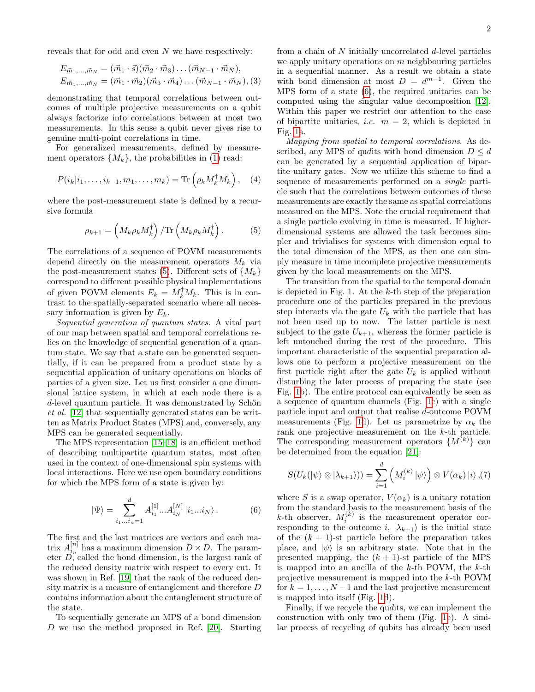reveals that for odd and even  $N$  we have respectively:

<span id="page-1-3"></span>
$$
E_{\vec{m}_1,...,\vec{m}_N} = (\vec{m}_1 \cdot \vec{s})(\vec{m}_2 \cdot \vec{m}_3) \dots (\vec{m}_{N-1} \cdot \vec{m}_N),
$$
  
\n
$$
E_{\vec{m}_1,...,\vec{m}_N} = (\vec{m}_1 \cdot \vec{m}_2)(\vec{m}_3 \cdot \vec{m}_4) \dots (\vec{m}_{N-1} \cdot \vec{m}_N),
$$
 (3)

demonstrating that temporal correlations between outcomes of multiple projective measurements on a qubit always factorize into correlations between at most two measurements. In this sense a qubit never gives rise to genuine multi-point correlations in time.

For generalized measurements, defined by measurement operators  $\{M_k\}$ , the probabilities in [\(1\)](#page-0-0) read:

$$
P(i_k|i_1,\ldots,i_{k-1},m_1,\ldots,m_k) = \text{Tr}\left(\rho_k M_k^{\dagger} M_k\right), \quad (4)
$$

where the post-measurement state is defined by a recursive formula

<span id="page-1-0"></span>
$$
\rho_{k+1} = \left(M_k \rho_k M_k^{\dagger}\right) / \text{Tr}\left(M_k \rho_k M_k^{\dagger}\right). \tag{5}
$$

The correlations of a sequence of POVM measurements depend directly on the measurement operators  $M_k$  via the post-measurement states [\(5\)](#page-1-0). Different sets of  $\{M_k\}$ correspond to different possible physical implementations of given POVM elements  $E_k = M_k^{\dagger} M_k$ . This is in contrast to the spatially-separated scenario where all necessary information is given by  $E_k$ .

Sequential generation of quantum states. A vital part of our map between spatial and temporal correlations relies on the knowledge of sequential generation of a quantum state. We say that a state can be generated sequentially, if it can be prepared from a product state by a sequential application of unitary operations on blocks of parties of a given size. Let us first consider a one dimensional lattice system, in which at each node there is a d-level quantum particle. It was demonstrated by Schön et al. [\[12\]](#page-4-9) that sequentially generated states can be written as Matrix Product States (MPS) and, conversely, any MPS can be generated sequentially.

The MPS representation [\[15–](#page-4-12)[18\]](#page-4-13) is an efficient method of describing multipartite quantum states, most often used in the context of one-dimensional spin systems with local interactions. Here we use open boundary conditions for which the MPS form of a state is given by:

<span id="page-1-1"></span>
$$
|\Psi\rangle = \sum_{i_1...i_n=1}^d A_{i_1}^{[1]} ... A_{i_N}^{[N]} |i_1...i_N\rangle.
$$
 (6)

The first and the last matrices are vectors and each matrix  $A_{i_n}^{[n]}$  has a maximum dimension  $D \times D$ . The parameter  $D$ , called the bond dimension, is the largest rank of the reduced density matrix with respect to every cut. It was shown in Ref. [\[19\]](#page-4-14) that the rank of the reduced density matrix is a measure of entanglement and therefore D contains information about the entanglement structure of the state.

To sequentially generate an MPS of a bond dimension D we use the method proposed in Ref. [\[20\]](#page-4-15). Starting from a chain of  $N$  initially uncorrelated  $d$ -level particles we apply unitary operations on  $m$  neighbouring particles in a sequential manner. As a result we obtain a state with bond dimension at most  $D = d^{m-1}$ . Given the MPS form of a state [\(6\)](#page-1-1), the required unitaries can be computed using the singular value decomposition [\[12\]](#page-4-9). Within this paper we restrict our attention to the case of bipartite unitaries, *i.e.*  $m = 2$ , which is depicted in Fig. [1a](#page-2-0).

Mapping from spatial to temporal correlations. As described, any MPS of quality with bond dimension  $D \leq d$ can be generated by a sequential application of bipartite unitary gates. Now we utilize this scheme to find a sequence of measurements performed on a single particle such that the correlations between outcomes of these measurements are exactly the same as spatial correlations measured on the MPS. Note the crucial requirement that a single particle evolving in time is measured. If higherdimensional systems are allowed the task becomes simpler and trivialises for systems with dimension equal to the total dimension of the MPS, as then one can simply measure in time incomplete projective measurements given by the local measurements on the MPS.

The transition from the spatial to the temporal domain is depicted in Fig. 1. At the  $k$ -th step of the preparation procedure one of the particles prepared in the previous step interacts via the gate  $U_k$  with the particle that has not been used up to now. The latter particle is next subject to the gate  $U_{k+1}$ , whereas the former particle is left untouched during the rest of the procedure. This important characteristic of the sequential preparation allows one to perform a projective measurement on the first particle right after the gate  $U_k$  is applied without disturbing the later process of preparing the state (see Fig. [1b](#page-2-0)). The entire protocol can equivalently be seen as a sequence of quantum channels (Fig. [1c](#page-2-0)) with a single particle input and output that realise d-outcome POVM measurements (Fig. [1d](#page-2-0)). Let us parametrize by  $\alpha_k$  the rank one projective measurement on the k-th particle. The corresponding measurement operators  $\{M^{(k)}\}\$ can be determined from the equation [\[21\]](#page-4-16):

<span id="page-1-2"></span>
$$
S(U_k(\ket{\psi}\otimes\ket{\lambda_{k+1}}))=\sum_{i=1}^d \left(M_i^{(k)}\ket{\psi}\right)\otimes V(\alpha_k)\ket{i},(7)
$$

where S is a swap operator,  $V(\alpha_k)$  is a unitary rotation from the standard basis to the measurement basis of the k-th observer,  $M_i^{(k)}$  is the measurement operator corresponding to the outcome i,  $|\lambda_{k+1}\rangle$  is the initial state of the  $(k + 1)$ -st particle before the preparation takes place, and  $|\psi\rangle$  is an arbitrary state. Note that in the presented mapping, the  $(k + 1)$ -st particle of the MPS is mapped into an ancilla of the  $k$ -th POVM, the  $k$ -th projective measurement is mapped into the k-th POVM for  $k = 1, \ldots, N-1$  and the last projective measurement is mapped into itself (Fig. [1d](#page-2-0)).

Finally, if we recycle the qudits, we can implement the construction with only two of them (Fig. [1e](#page-2-0)). A similar process of recycling of qubits has already been used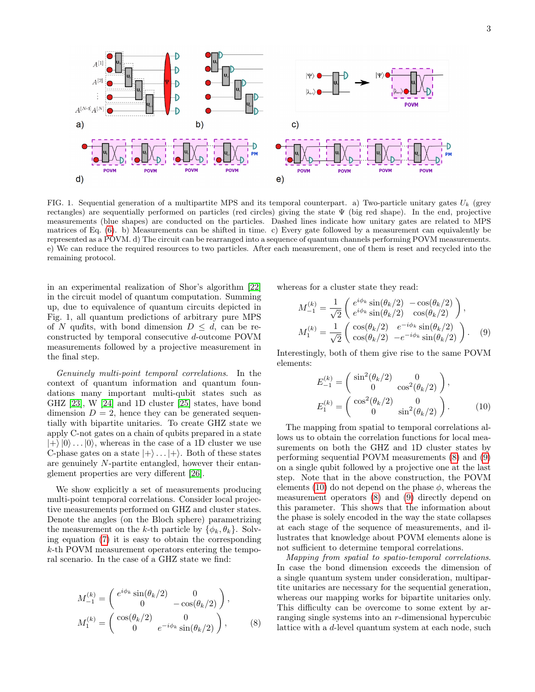

<span id="page-2-0"></span>FIG. 1. Sequential generation of a multipartite MPS and its temporal counterpart. a) Two-particle unitary gates  $U_k$  (grey rectangles) are sequentially performed on particles (red circles) giving the state  $\Psi$  (big red shape). In the end, projective measurements (blue shapes) are conducted on the particles. Dashed lines indicate how unitary gates are related to MPS matrices of Eq. [\(6\)](#page-1-1). b) Measurements can be shifted in time. c) Every gate followed by a measurement can equivalently be represented as a POVM. d) The circuit can be rearranged into a sequence of quantum channels performing POVM measurements. e) We can reduce the required resources to two particles. After each measurement, one of them is reset and recycled into the remaining protocol.

in an experimental realization of Shor's algorithm [\[22\]](#page-5-0) in the circuit model of quantum computation. Summing up, due to equivalence of quantum circuits depicted in Fig. 1, all quantum predictions of arbitrary pure MPS of N qudits, with bond dimension  $D \leq d$ , can be reconstructed by temporal consecutive d-outcome POVM measurements followed by a projective measurement in the final step.

Genuinely multi-point temporal correlations. In the context of quantum information and quantum foundations many important multi-qubit states such as GHZ [\[23\]](#page-5-1), W [\[24\]](#page-5-2) and 1D cluster [\[25\]](#page-5-3) states, have bond dimension  $D = 2$ , hence they can be generated sequentially with bipartite unitaries. To create GHZ state we apply C-not gates on a chain of qubits prepared in a state  $|+\rangle |0\rangle \dots |0\rangle$ , whereas in the case of a 1D cluster we use C-phase gates on a state  $|+\rangle$ ...  $|+\rangle$ . Both of these states are genuinely N-partite entangled, however their entanglement properties are very different [\[26\]](#page-5-4).

We show explicitly a set of measurements producing multi-point temporal correlations. Consider local projective measurements performed on GHZ and cluster states. Denote the angles (on the Bloch sphere) parametrizing the measurement on the k-th particle by  $\{\phi_k, \theta_k\}$ . Solving equation [\(7\)](#page-1-2) it is easy to obtain the corresponding k-th POVM measurement operators entering the temporal scenario. In the case of a GHZ state we find:

<span id="page-2-1"></span>
$$
M_{-1}^{(k)} = \begin{pmatrix} e^{i\phi_k} \sin(\theta_k/2) & 0\\ 0 & -\cos(\theta_k/2) \end{pmatrix},
$$
  
\n
$$
M_1^{(k)} = \begin{pmatrix} \cos(\theta_k/2) & 0\\ 0 & e^{-i\phi_k} \sin(\theta_k/2) \end{pmatrix},
$$
\n(8)

whereas for a cluster state they read:

<span id="page-2-2"></span>
$$
M_{-1}^{(k)} = \frac{1}{\sqrt{2}} \begin{pmatrix} e^{i\phi_k} \sin(\theta_k/2) & -\cos(\theta_k/2) \\ e^{i\phi_k} \sin(\theta_k/2) & \cos(\theta_k/2) \end{pmatrix},
$$
  
\n
$$
M_1^{(k)} = \frac{1}{\sqrt{2}} \begin{pmatrix} \cos(\theta_k/2) & e^{-i\phi_k} \sin(\theta_k/2) \\ \cos(\theta_k/2) & -e^{-i\phi_k} \sin(\theta_k/2) \end{pmatrix}.
$$
 (9)

Interestingly, both of them give rise to the same POVM elements:

<span id="page-2-3"></span>
$$
E_{-1}^{(k)} = \begin{pmatrix} \sin^2(\theta_k/2) & 0\\ 0 & \cos^2(\theta_k/2) \end{pmatrix},
$$
  
\n
$$
E_1^{(k)} = \begin{pmatrix} \cos^2(\theta_k/2) & 0\\ 0 & \sin^2(\theta_k/2) \end{pmatrix}.
$$
 (10)

The mapping from spatial to temporal correlations allows us to obtain the correlation functions for local measurements on both the GHZ and 1D cluster states by performing sequential POVM measurements [\(8\)](#page-2-1) and [\(9\)](#page-2-2) on a single qubit followed by a projective one at the last step. Note that in the above construction, the POVM elements [\(10\)](#page-2-3) do not depend on the phase  $\phi$ , whereas the measurement operators [\(8\)](#page-2-1) and [\(9\)](#page-2-2) directly depend on this parameter. This shows that the information about the phase is solely encoded in the way the state collapses at each stage of the sequence of measurements, and illustrates that knowledge about POVM elements alone is not sufficient to determine temporal correlations.

Mapping from spatial to spatio-temporal correlations. In case the bond dimension exceeds the dimension of a single quantum system under consideration, multipartite unitaries are necessary for the sequential generation, whereas our mapping works for bipartite unitaries only. This difficulty can be overcome to some extent by arranging single systems into an r-dimensional hypercubic lattice with a d-level quantum system at each node, such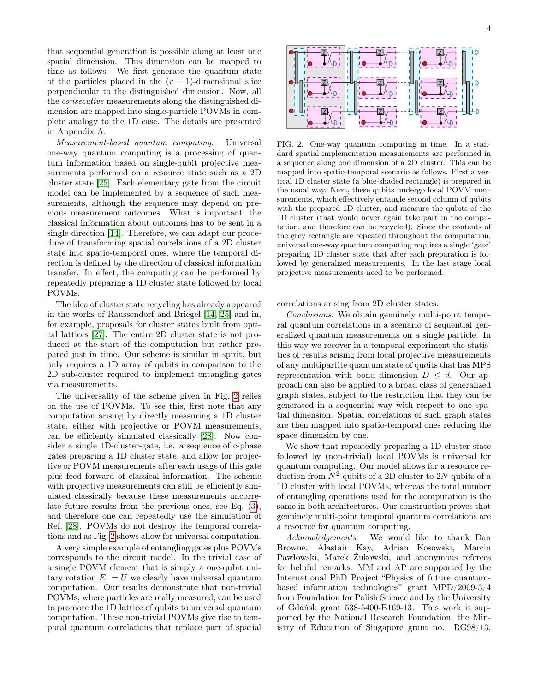that sequential generation is possible along at least one spatial dimension. This dimension can be mapped to time as follows. We first generate the quantum state of the particles placed in the  $(r - 1)$ -dimensional slice perpendicular to the distinguished dimension. Now, all the consecutive measurements along the distinguished dimension are mapped into single-particle POVMs in complete analogy to the 1D case. The details are presented in Appendix A.

Measurement-based quantum computing. Universal one-way quantum computing is a processing of quantum information based on single-qubit projective measurements performed on a resource state such as a 2D cluster state [\[25\]](#page-5-3). Each elementary gate from the circuit model can be implemented by a sequence of such measurements, although the sequence may depend on previous measurement outcomes. What is important, the classical information about outcomes has to be sent in a single direction [\[14\]](#page-4-11). Therefore, we can adapt our procedure of transforming spatial correlations of a 2D cluster state into spatio-temporal ones, where the temporal direction is defined by the direction of classical information transfer. In effect, the computing can be performed by repeatedly preparing a 1D cluster state followed by local POVMs.

The idea of cluster state recycling has already appeared in the works of Raussendorf and Briegel [\[14,](#page-4-11) [25\]](#page-5-3) and in, for example, proposals for cluster states built from optical lattices [\[27\]](#page-5-5). The entire 2D cluster state is not produced at the start of the computation but rather prepared just in time. Our scheme is similar in spirit, but only requires a 1D array of qubits in comparison to the 2D sub-cluster required to implement entangling gates via measurements.

The universality of the scheme given in Fig. [2](#page-3-0) relies on the use of POVMs. To see this, first note that any computation arising by directly measuring a 1D cluster state, either with projective or POVM measurements, can be efficiently simulated classically [\[28\]](#page-5-6). Now consider a single 1D-cluster-gate, i.e. a sequence of c-phase gates preparing a 1D cluster state, and allow for projective or POVM measurements after each usage of this gate plus feed forward of classical information. The scheme with projective measurements can still be efficiently simulated classically because these measurements uncorrelate future results from the previous ones, see Eq. [\(3\)](#page-1-3), and therefore one can repeatedly use the simulation of Ref. [\[28\]](#page-5-6). POVMs do not destroy the temporal correlations and as Fig. [2](#page-3-0) shows allow for universal computation.

A very simple example of entangling gates plus POVMs corresponds to the circuit model. In the trivial case of a single POVM element that is simply a one-qubit unitary rotation  $E_1 = U$  we clearly have universal quantum computation. Our results demonstrate that non-trivial POVMs, where particles are really measured, can be used to promote the 1D lattice of qubits to universal quantum computation. These non-trivial POVMs give rise to temporal quantum correlations that replace part of spatial



<span id="page-3-0"></span>FIG. 2. One-way quantum computing in time. In a standard spatial implementation measurements are performed in a sequence along one dimension of a 2D cluster. This can be mapped into spatio-temporal scenario as follows. First a vertical 1D cluster state (a blue-shaded rectangle) is prepared in the usual way. Next, these qubits undergo local POVM measurements, which effectively entangle second column of qubits with the prepared 1D cluster, and measure the qubits of the 1D cluster (that would never again take part in the computation, and therefore can be recycled). Since the contents of the grey rectangle are repeated throughout the computation, universal one-way quantum computing requires a single 'gate' preparing 1D cluster state that after each preparation is followed by generalized measurements. In the last stage local projective measurements need to be performed.

correlations arising from 2D cluster states.

Conclusions. We obtain genuinely multi-point temporal quantum correlations in a scenario of sequential generalized quantum measurements on a single particle. In this way we recover in a temporal experiment the statistics of results arising from local projective measurements of any multipartite quantum state of qudits that has MPS representation with bond dimension  $D \leq d$ . Our approach can also be applied to a broad class of generalized graph states, subject to the restriction that they can be generated in a sequential way with respect to one spatial dimension. Spatial correlations of such graph states are then mapped into spatio-temporal ones reducing the space dimension by one.

We show that repeatedly preparing a 1D cluster state followed by (non-trivial) local POVMs is universal for quantum computing. Our model allows for a resource reduction from  $N^2$  qubits of a 2D cluster to 2N qubits of a 1D cluster with local POVMs, whereas the total number of entangling operations used for the computation is the same in both architectures. Our construction proves that genuinely multi-point temporal quantum correlations are a resource for quantum computing.

Acknowledgements. We would like to thank Dan Browne, Alastair Kay, Adrian Kosowski, Marcin Pawłowski, Marek Żukowski, and anonymous referees for helpful remarks. MM and AP are supported by the International PhD Project "Physics of future quantumbased information technologies" grant MPD/2009-3/4 from Foundation for Polish Science and by the University of Gdańsk grant 538-5400-B169-13. This work is supported by the National Research Foundation, the Ministry of Education of Singapore grant no. RG98/13,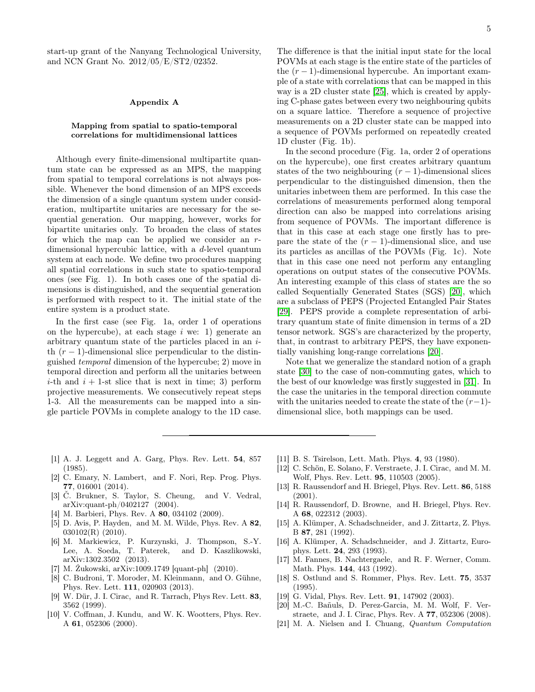start-up grant of the Nanyang Technological University, and NCN Grant No. 2012/05/E/ST2/02352.

## Appendix A

## Mapping from spatial to spatio-temporal correlations for multidimensional lattices

Although every finite-dimensional multipartite quantum state can be expressed as an MPS, the mapping from spatial to temporal correlations is not always possible. Whenever the bond dimension of an MPS exceeds the dimension of a single quantum system under consideration, multipartite unitaries are necessary for the sequential generation. Our mapping, however, works for bipartite unitaries only. To broaden the class of states for which the map can be applied we consider an rdimensional hypercubic lattice, with a d-level quantum system at each node. We define two procedures mapping all spatial correlations in such state to spatio-temporal ones (see Fig. 1). In both cases one of the spatial dimensions is distinguished, and the sequential generation is performed with respect to it. The initial state of the entire system is a product state.

In the first case (see Fig. 1a, order 1 of operations on the hypercube), at each stage  $i$  we: 1) generate an arbitrary quantum state of the particles placed in an ith  $(r-1)$ -dimensional slice perpendicular to the distinguished temporal dimension of the hypercube; 2) move in temporal direction and perform all the unitaries between *i*-th and  $i + 1$ -st slice that is next in time; 3) perform projective measurements. We consecutively repeat steps 1-3. All the measurements can be mapped into a single particle POVMs in complete analogy to the 1D case.

The difference is that the initial input state for the local POVMs at each stage is the entire state of the particles of the  $(r-1)$ -dimensional hypercube. An important example of a state with correlations that can be mapped in this way is a 2D cluster state [\[25\]](#page-5-3), which is created by applying C-phase gates between every two neighbouring qubits on a square lattice. Therefore a sequence of projective measurements on a 2D cluster state can be mapped into a sequence of POVMs performed on repeatedly created 1D cluster (Fig. 1b).

In the second procedure (Fig. 1a, order 2 of operations on the hypercube), one first creates arbitrary quantum states of the two neighbouring  $(r - 1)$ -dimensional slices perpendicular to the distinguished dimension, then the unitaries inbetween them are performed. In this case the correlations of measurements performed along temporal direction can also be mapped into correlations arising from sequence of POVMs. The important difference is that in this case at each stage one firstly has to prepare the state of the  $(r-1)$ -dimensional slice, and use its particles as ancillas of the POVMs (Fig. 1c). Note that in this case one need not perform any entangling operations on output states of the consecutive POVMs. An interesting example of this class of states are the so called Sequentially Generated States (SGS) [\[20\]](#page-4-15), which are a subclass of PEPS (Projected Entangled Pair States [\[29\]](#page-5-7). PEPS provide a complete representation of arbitrary quantum state of finite dimension in terms of a 2D tensor network. SGS's are characterized by the property, that, in contrast to arbitrary PEPS, they have exponentially vanishing long-range correlations [\[20\]](#page-4-15).

Note that we generalize the standard notion of a graph state [\[30\]](#page-5-8) to the case of non-commuting gates, which to the best of our knowledge was firstly suggested in [\[31\]](#page-5-9). In the case the unitaries in the temporal direction commute with the unitaries needed to create the state of the  $(r-1)$ dimensional slice, both mappings can be used.

- <span id="page-4-0"></span>[1] A. J. Leggett and A. Garg, Phys. Rev. Lett. 54, 857 (1985).
- <span id="page-4-1"></span>[2] C. Emary, N. Lambert, and F. Nori, Rep. Prog. Phys. 77, 016001 (2014).
- <span id="page-4-2"></span>[3] Č. Brukner, S. Taylor, S. Cheung, and V. Vedral, arXiv:quant-ph/0402127 (2004).
- <span id="page-4-3"></span>[4] M. Barbieri, Phys. Rev. A 80, 034102 (2009).
- [5] D. Avis, P. Hayden, and M. M. Wilde, Phys. Rev. A 82, 030102(R) (2010).
- [6] M. Markiewicz, P. Kurzynski, J. Thompson, S.-Y. Lee, A. Soeda, T. Paterek, and D. Kaszlikowski, arXiv:1302.3502 (2013).
- <span id="page-4-4"></span>[7] M. Żukowski, arXiv:1009.1749 [quant-ph] (2010).
- <span id="page-4-5"></span>[8] C. Budroni, T. Moroder, M. Kleinmann, and O. Gühne, Phys. Rev. Lett. 111, 020903 (2013).
- <span id="page-4-6"></span>[9] W. Dür, J. I. Cirac, and R. Tarrach, Phys Rev. Lett. 83, 3562 (1999).
- <span id="page-4-7"></span>[10] V. Coffman, J. Kundu, and W. K. Wootters, Phys. Rev. A 61, 052306 (2000).
- <span id="page-4-8"></span>[11] B. S. Tsirelson, Lett. Math. Phys. 4, 93 (1980).
- <span id="page-4-9"></span>[12] C. Schön, E. Solano, F. Verstraete, J. I. Cirac, and M. M. Wolf, Phys. Rev. Lett. 95, 110503 (2005).
- <span id="page-4-10"></span>[13] R. Raussendorf and H. Briegel, Phys. Rev. Lett. 86, 5188 (2001).
- <span id="page-4-11"></span>[14] R. Raussendorf, D. Browne, and H. Briegel, Phys. Rev. A 68, 022312 (2003).
- <span id="page-4-12"></span>[15] A. Klümper, A. Schadschneider, and J. Zittartz, Z. Phys. B 87, 281 (1992).
- [16] A. Klümper, A. Schadschneider, and J. Zittartz, Europhys. Lett. 24, 293 (1993).
- [17] M. Fannes, B. Nachtergaele, and R. F. Werner, Comm. Math. Phys. 144, 443 (1992).
- <span id="page-4-13"></span>[18] S. Ostlund and S. Rommer, Phys. Rev. Lett. 75, 3537 (1995).
- <span id="page-4-14"></span>[19] G. Vidal, Phys. Rev. Lett. **91**, 147902 (2003).
- <span id="page-4-15"></span>[20] M.-C. Bañuls, D. Perez-Garcia, M. M. Wolf, F. Verstraete, and J. I. Cirac, Phys. Rev. A 77, 052306 (2008).
- <span id="page-4-16"></span>[21] M. A. Nielsen and I. Chuang, Quantum Computation